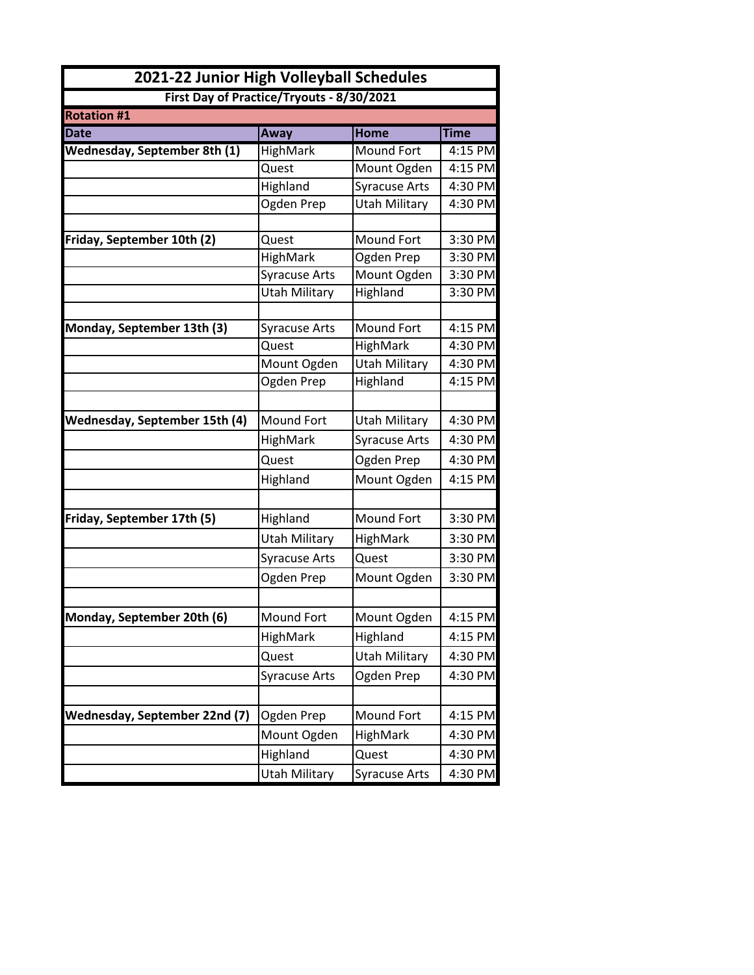| 2021-22 Junior High Volleyball Schedules<br>First Day of Practice/Tryouts - 8/30/2021 |                      |                      |             |
|---------------------------------------------------------------------------------------|----------------------|----------------------|-------------|
|                                                                                       |                      |                      |             |
| <b>Date</b>                                                                           | Away                 | <b>Home</b>          | <b>Time</b> |
| Wednesday, September 8th (1)                                                          | <b>HighMark</b>      | <b>Mound Fort</b>    | $4:15$ PM   |
|                                                                                       | Quest                | Mount Ogden          | 4:15 PM     |
|                                                                                       | Highland             | <b>Syracuse Arts</b> | 4:30 PM     |
|                                                                                       | Ogden Prep           | <b>Utah Military</b> | 4:30 PM     |
|                                                                                       |                      |                      |             |
| Friday, September 10th (2)                                                            | Quest                | <b>Mound Fort</b>    | 3:30 PM     |
|                                                                                       | HighMark             | Ogden Prep           | 3:30 PM     |
|                                                                                       | <b>Syracuse Arts</b> | Mount Ogden          | 3:30 PM     |
|                                                                                       | <b>Utah Military</b> | Highland             | 3:30 PM     |
| Monday, September 13th (3)                                                            | <b>Syracuse Arts</b> | <b>Mound Fort</b>    | 4:15 PM     |
|                                                                                       | Quest                | HighMark             | 4:30 PM     |
|                                                                                       | Mount Ogden          | Utah Military        | 4:30 PM     |
|                                                                                       | Ogden Prep           | Highland             | 4:15 PM     |
|                                                                                       |                      |                      |             |
| <b>Wednesday, September 15th (4)</b>                                                  | Mound Fort           | <b>Utah Military</b> | 4:30 PM     |
|                                                                                       | HighMark             | <b>Syracuse Arts</b> | 4:30 PM     |
|                                                                                       | Quest                | Ogden Prep           | 4:30 PM     |
|                                                                                       | Highland             | Mount Ogden          | 4:15 PM     |
|                                                                                       |                      |                      |             |
| Friday, September 17th (5)                                                            | Highland             | <b>Mound Fort</b>    | 3:30 PM     |
|                                                                                       | <b>Utah Military</b> | HighMark             | 3:30 PM     |
|                                                                                       | <b>Syracuse Arts</b> | Quest                | 3:30 PM     |
|                                                                                       | Ogden Prep           | Mount Ogden          | 3:30 PM     |
|                                                                                       |                      |                      |             |
| Monday, September 20th (6)                                                            | Mound Fort           | Mount Ogden          | 4:15 PM     |
|                                                                                       | HighMark             | Highland             | 4:15 PM     |
|                                                                                       | Quest                | <b>Utah Military</b> | 4:30 PM     |
|                                                                                       | <b>Syracuse Arts</b> | Ogden Prep           | 4:30 PM     |
|                                                                                       |                      |                      |             |
| Wednesday, September 22nd (7)                                                         | Ogden Prep           | Mound Fort           | 4:15 PM     |
|                                                                                       | Mount Ogden          | HighMark             | 4:30 PM     |
|                                                                                       | Highland             | Quest                | 4:30 PM     |
|                                                                                       | Utah Military        | <b>Syracuse Arts</b> | 4:30 PM     |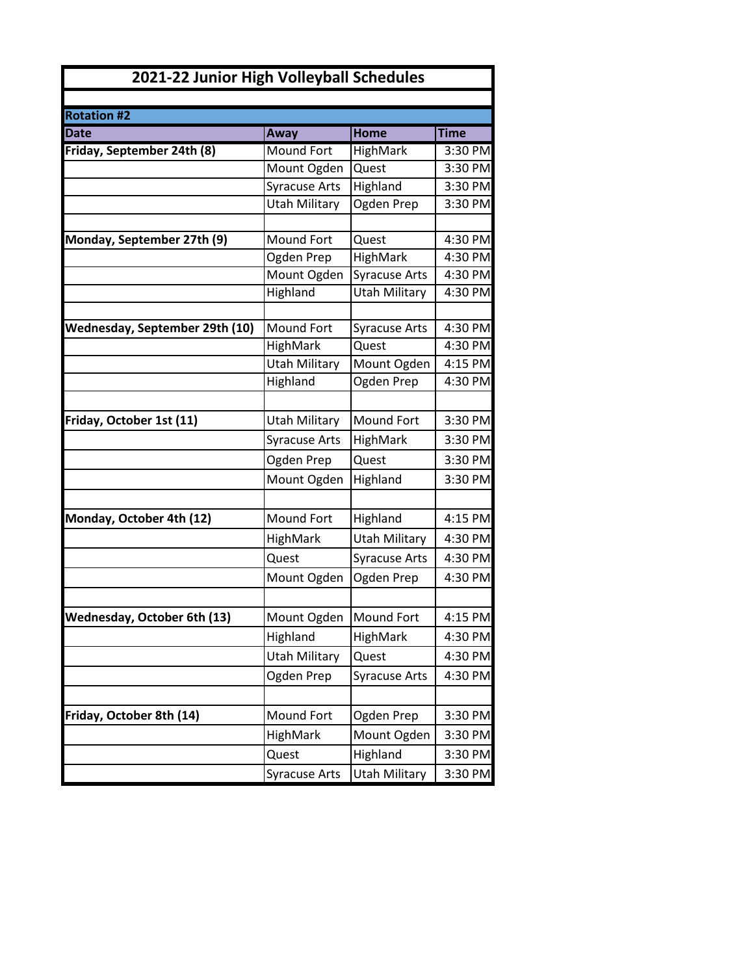| 2021-22 Junior High Volleyball Schedules |                      |                      |             |
|------------------------------------------|----------------------|----------------------|-------------|
|                                          |                      |                      |             |
| <b>Rotation #2</b>                       |                      |                      |             |
| <b>Date</b>                              | Away                 | <b>Home</b>          | <b>Time</b> |
| Friday, September 24th (8)               | <b>Mound Fort</b>    | HighMark             | 3:30 PM     |
|                                          | Mount Ogden          | Quest                | 3:30 PM     |
|                                          | <b>Syracuse Arts</b> | Highland             | 3:30 PM     |
|                                          | <b>Utah Military</b> | Ogden Prep           | $3:30$ PM   |
|                                          |                      |                      |             |
| Monday, September 27th (9)               | <b>Mound Fort</b>    | Quest                | 4:30 PM     |
|                                          | Ogden Prep           | HighMark             | 4:30 PM     |
|                                          | Mount Ogden          | <b>Syracuse Arts</b> | 4:30 PM     |
|                                          | Highland             | <b>Utah Military</b> | 4:30 PM     |
|                                          |                      |                      |             |
| Wednesday, September 29th (10)           | Mound Fort           | <b>Syracuse Arts</b> | 4:30 PM     |
|                                          | HighMark             | Quest                | 4:30 PM     |
|                                          | <b>Utah Military</b> | Mount Ogden          | 4:15 PM     |
|                                          | Highland             | Ogden Prep           | 4:30 PM     |
|                                          |                      |                      |             |
| Friday, October 1st (11)                 | <b>Utah Military</b> | Mound Fort           | 3:30 PM     |
|                                          | <b>Syracuse Arts</b> | HighMark             | 3:30 PM     |
|                                          | Ogden Prep           | Quest                | 3:30 PM     |
|                                          | Mount Ogden          | Highland             | 3:30 PM     |
|                                          |                      |                      |             |
| Monday, October 4th (12)                 | <b>Mound Fort</b>    | Highland             | 4:15 PM     |
|                                          | HighMark             | <b>Utah Military</b> | 4:30 PM     |
|                                          | Quest                | <b>Syracuse Arts</b> | 4:30 PM     |
|                                          | Mount Ogden          | Ogden Prep           | 4:30 PM     |
|                                          |                      |                      |             |
| Wednesday, October 6th (13)              | Mount Ogden          | <b>Mound Fort</b>    | 4:15 PM     |
|                                          | Highland             | HighMark             | 4:30 PM     |
|                                          | <b>Utah Military</b> | Quest                | 4:30 PM     |
|                                          | Ogden Prep           | <b>Syracuse Arts</b> | 4:30 PM     |
|                                          |                      |                      |             |
|                                          |                      |                      |             |
| Friday, October 8th (14)                 | Mound Fort           | Ogden Prep           | 3:30 PM     |
|                                          | HighMark             | Mount Ogden          | 3:30 PM     |
|                                          | Quest                | Highland             | 3:30 PM     |
|                                          | <b>Syracuse Arts</b> | <b>Utah Military</b> | 3:30 PM     |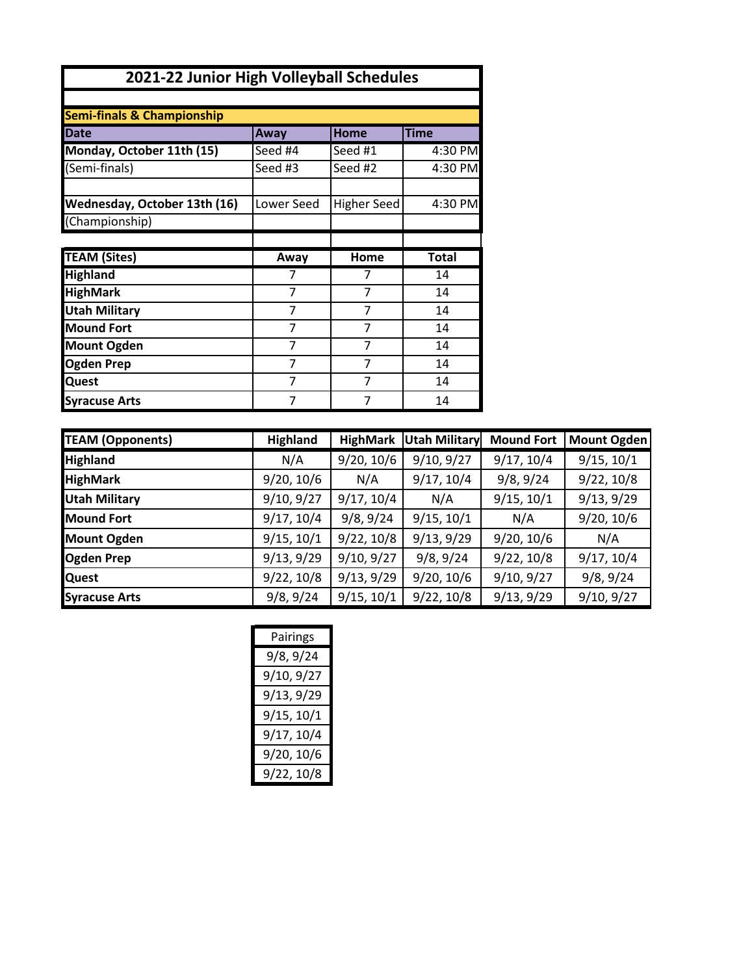| 2021-22 Junior High Volleyball Schedules       |            |                    |              |
|------------------------------------------------|------------|--------------------|--------------|
|                                                |            |                    |              |
| <b>Semi-finals &amp; Championship</b>          |            |                    |              |
| <b>Date</b>                                    | Away       | <b>Home</b>        | <b>Time</b>  |
| Monday, October 11th (15)                      | Seed #4    | Seed #1            | 4:30 PM      |
| (Semi-finals)                                  | Seed #3    | Seed #2            | 4:30 PM      |
| Wednesday, October 13th (16)<br>(Championship) | Lower Seed | <b>Higher Seed</b> | 4:30 PM      |
|                                                |            |                    |              |
| <b>TEAM (Sites)</b>                            | Away       | Home               | <b>Total</b> |
| <b>Highland</b>                                | 7          | 7                  | 14           |
| <b>HighMark</b>                                | 7          | 7                  | 14           |
| <b>Utah Military</b>                           | 7          | 7                  | 14           |
| <b>Mound Fort</b>                              | 7          | 7                  | 14           |
| <b>Mount Ogden</b>                             | 7          | 7                  | 14           |
| <b>Ogden Prep</b>                              | 7          | 7                  | 14           |
| <b>Quest</b>                                   | 7          | 7                  | 14           |
| <b>Syracuse Arts</b>                           | 7          | 7                  | 14           |

| <b>TEAM (Opponents)</b> | Highland   | <b>HighMark</b> | <b>Utah Military</b> | <b>Mound Fort</b> | <b>Mount Ogden</b> |
|-------------------------|------------|-----------------|----------------------|-------------------|--------------------|
| <b>Highland</b>         | N/A        | 9/20, 10/6      | 9/10, 9/27           | 9/17, 10/4        | 9/15, 10/1         |
| <b>HighMark</b>         | 9/20, 10/6 | N/A             | 9/17, 10/4           | 9/8, 9/24         | 9/22, 10/8         |
| <b>Utah Military</b>    | 9/10, 9/27 | 9/17, 10/4      | N/A                  | 9/15, 10/1        | 9/13, 9/29         |
| <b>Mound Fort</b>       | 9/17, 10/4 | 9/8, 9/24       | 9/15, 10/1           | N/A               | 9/20, 10/6         |
| <b>Mount Ogden</b>      | 9/15, 10/1 | 9/22, 10/8      | 9/13, 9/29           | 9/20, 10/6        | N/A                |
| <b>Ogden Prep</b>       | 9/13, 9/29 | 9/10, 9/27      | 9/8, 9/24            | 9/22, 10/8        | 9/17, 10/4         |
| <b>Quest</b>            | 9/22, 10/8 | 9/13, 9/29      | 9/20, 10/6           | 9/10, 9/27        | 9/8, 9/24          |
| <b>Syracuse Arts</b>    | 9/8, 9/24  | 9/15, 10/1      | 9/22, 10/8           | 9/13, 9/29        | 9/10, 9/27         |

| 9/8, 9/24<br>9/10, 9/27<br>9/13, 9/29<br>9/15, 10/1<br>9/17, 10/4<br>9/20, 10/6 | Pairings   |  |  |
|---------------------------------------------------------------------------------|------------|--|--|
|                                                                                 |            |  |  |
|                                                                                 |            |  |  |
|                                                                                 |            |  |  |
|                                                                                 |            |  |  |
|                                                                                 |            |  |  |
|                                                                                 |            |  |  |
|                                                                                 | 9/22, 10/8 |  |  |